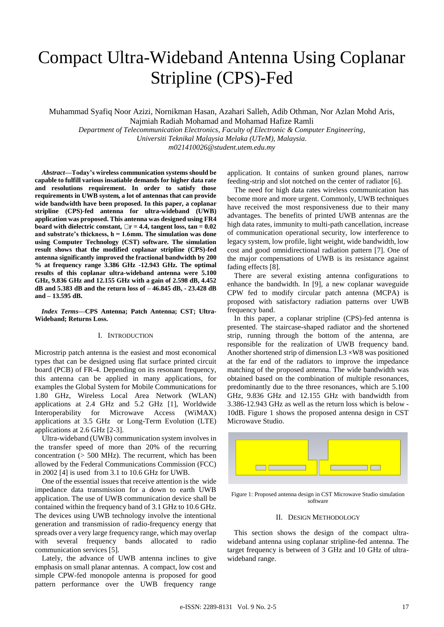# Compact Ultra-Wideband Antenna Using Coplanar Stripline (CPS)-Fed

Muhammad Syafiq Noor Azizi, Nornikman Hasan, Azahari Salleh, Adib Othman, Nor Azlan Mohd Aris, Najmiah Radiah Mohamad and Mohamad Hafize Ramli

*Department of Telecommunication Electronics, Faculty of Electronic & Computer Engineering, Universiti Teknikal Malaysia Melaka (UTeM), Malaysia. m021410026@student.utem.edu.my*

*Abstract***—Today's wireless communication systems should be capable to fulfill various insatiable demands for higher data rate and resolutions requirement. In order to satisfy those requirements in UWB system, a lot of antennas that can provide wide bandwidth have been proposed. In this paper, a coplanar stripline (CPS)-fed antenna for ultra-wideband (UWB) application was proposed. This antenna was designed using FR4**  board with dielectric constant,  $\Box$ r = 4.4, tangent loss, tan =  $0.02$ **and substrate's thickness, h = 1.6mm. The simulation was done using Computer Technology (CST) software. The simulation result shows that the modified coplanar stripline (CPS)-fed antenna significantly improved the fractional bandwidth by 200 % at frequency range 3.386 GHz -12.943 GHz. The optimal results of this coplanar ultra-wideband antenna were 5.100 GHz, 9.836 GHz and 12.155 GHz with a gain of 2.598 dB, 4.452 dB and 5.383 dB and the return loss of – 46.845 dB, - 23.428 dB and – 13.595 dB.**

*Index Terms***—CPS Antenna; Patch Antenna; CST; Ultra-Wideband; Returns Loss.**

#### I. INTRODUCTION

Microstrip patch antenna is the easiest and most economical types that can be designed using flat surface printed circuit board (PCB) of FR-4. Depending on its resonant frequency, this antenna can be applied in many applications, for examples the Global System for Mobile Communications for 1.80 GHz, Wireless Local Area Network (WLAN) applications at 2.4 GHz and 5.2 GHz [1], Worldwide Interoperability for Microwave Access (WiMAX) applications at 3.5 GHz or Long-Term Evolution (LTE) applications at 2.6 GHz [2-3].

Ultra-wideband (UWB) communication system involves in the transfer speed of more than 20% of the recurring concentration (> 500 MHz). The recurrent, which has been allowed by the Federal Communications Commission (FCC) in 2002 [4] is used from 3.1 to 10.6 GHz for UWB.

One of the essential issues that receive attention is the wide impedance data transmission for a down to earth UWB application. The use of UWB communication device shall be contained within the frequency band of 3.1 GHz to 10.6 GHz. The devices using UWB technology involve the intentional generation and transmission of radio-frequency energy that spreads over a very large frequency range, which may overlap with several frequency bands allocated to radio communication services [5].

Lately, the advance of UWB antenna inclines to give emphasis on small planar antennas. A compact, low cost and simple CPW-fed monopole antenna is proposed for good pattern performance over the UWB frequency range application. It contains of sunken ground planes, narrow feeding-strip and slot notched on the center of radiator [6].

The need for high data rates wireless communication has become more and more urgent. Commonly, UWB techniques have received the most responsiveness due to their many advantages. The benefits of printed UWB antennas are the high data rates, immunity to multi-path cancellation, increase of communication operational security, low interference to legacy system, low profile, light weight, wide bandwidth, low cost and good omnidirectional radiation pattern [7]. One of the major compensations of UWB is its resistance against fading effects [8].

There are several existing antenna configurations to enhance the bandwidth. In [9], a new coplanar waveguide CPW fed to modify circular patch antenna (MCPA) is proposed with satisfactory radiation patterns over UWB frequency band.

In this paper, a coplanar stripline (CPS)-fed antenna is presented. The staircase-shaped radiator and the shortened strip, running through the bottom of the antenna, are responsible for the realization of UWB frequency band. Another shortened strip of dimension  $L3 \times W8$  was positioned at the far end of the radiators to improve the impedance matching of the proposed antenna. The wide bandwidth was obtained based on the combination of multiple resonances, predominantly due to the three resonances, which are 5.100 GHz, 9.836 GHz and 12.155 GHz with bandwidth from 3.386-12.943 GHz as well as the return loss which is below - 10dB. Figure 1 shows the proposed antenna design in CST Microwave Studio.



Figure 1: Proposed antenna design in CST Microwave Studio simulation software

# II. DESIGN METHODOLOGY

This section shows the design of the compact ultrawideband antenna using coplanar stripline-fed antenna. The target frequency is between of 3 GHz and 10 GHz of ultrawideband range.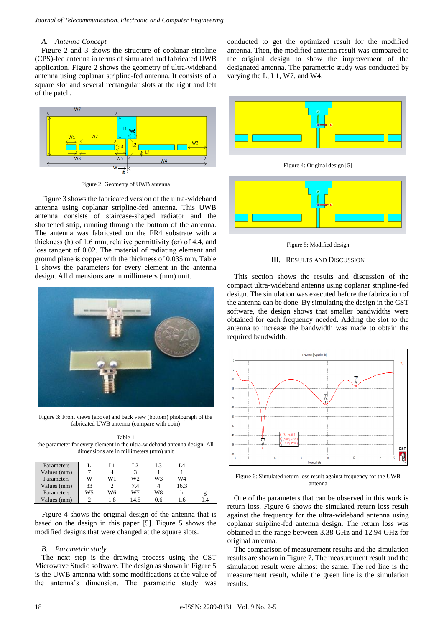# *A. Antenna Concept*

Figure 2 and 3 shows the structure of coplanar stripline (CPS)-fed antenna in terms of simulated and fabricated UWB application. Figure 2 shows the geometry of ultra-wideband antenna using coplanar stripline-fed antenna. It consists of a square slot and several rectangular slots at the right and left of the patch.



Figure 2: Geometry of UWB antenna

Figure 3 shows the fabricated version of the ultra-wideband antenna using coplanar stripline-fed antenna. This UWB antenna consists of staircase-shaped radiator and the shortened strip, running through the bottom of the antenna. The antenna was fabricated on the FR4 substrate with a thickness (h) of 1.6 mm, relative permittivity ( $\varepsilon$ r) of 4.4, and loss tangent of 0.02. The material of radiating element and ground plane is copper with the thickness of 0.035 mm. Table 1 shows the parameters for every element in the antenna design. All dimensions are in millimeters (mm) unit.



Figure 3: Front views (above) and back view (bottom) photograph of the fabricated UWB antenna (compare with coin)

Table 1 the parameter for every element in the ultra-wideband antenna design. All dimensions are in millimeters (mm) unit

| Parameters  |    | L1  | I 2  | L3  | i 4  |    |
|-------------|----|-----|------|-----|------|----|
| Values (mm) |    | 4   |      |     |      |    |
| Parameters  | W  | W1  | W2   | W3  | W4   |    |
| Values (mm) | 33 |     | 7.4  |     | 16.3 |    |
| Parameters  | W5 | W6  | W7   | W8  | h    | g  |
| Values (mm) |    | 1.8 | 14.5 | 0.6 | Lб   | 04 |

Figure 4 shows the original design of the antenna that is based on the design in this paper [5]. Figure 5 shows the modified designs that were changed at the square slots.

## *B. Parametric study*

The next step is the drawing process using the CST Microwave Studio software. The design as shown in Figure 5 is the UWB antenna with some modifications at the value of the antenna's dimension. The parametric study was conducted to get the optimized result for the modified antenna. Then, the modified antenna result was compared to the original design to show the improvement of the designated antenna. The parametric study was conducted by varying the L, L1, W7, and W4.



Figure 4: Original design [5]



Figure 5: Modified design



This section shows the results and discussion of the compact ultra-wideband antenna using coplanar stripline-fed design. The simulation was executed before the fabrication of the antenna can be done. By simulating the design in the CST software, the design shows that smaller bandwidths were obtained for each frequency needed. Adding the slot to the antenna to increase the bandwidth was made to obtain the required bandwidth.



Figure 6: Simulated return loss result against frequency for the UWB antenna

One of the parameters that can be observed in this work is return loss. Figure 6 shows the simulated return loss result against the frequency for the ultra-wideband antenna using coplanar stripline-fed antenna design. The return loss was obtained in the range between 3.38 GHz and 12.94 GHz for original antenna.

The comparison of measurement results and the simulation results are shown in Figure 7. The measurement result and the simulation result were almost the same. The red line is the measurement result, while the green line is the simulation results.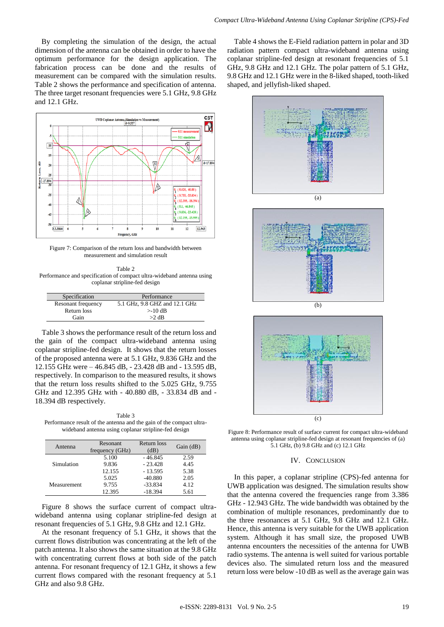By completing the simulation of the design, the actual dimension of the antenna can be obtained in order to have the optimum performance for the design application. The fabrication process can be done and the results of measurement can be compared with the simulation results. Table 2 shows the performance and specification of antenna. The three target resonant frequencies were 5.1 GHz, 9.8 GHz and 12.1 GHz.



Figure 7: Comparison of the return loss and bandwidth between measurement and simulation result

Table 2 Performance and specification of compact ultra-wideband antenna using coplanar stripline-fed design

| Specification      | Performance                   |
|--------------------|-------------------------------|
| Resonant frequency | 5.1 GHz, 9.8 GHZ and 12.1 GHz |
| Return loss        | $>10$ dB                      |
| Gain               | $>2$ dB                       |

Table 3 shows the performance result of the return loss and the gain of the compact ultra-wideband antenna using coplanar stripline-fed design. It shows that the return losses of the proposed antenna were at 5.1 GHz, 9.836 GHz and the 12.155 GHz were – 46.845 dB, - 23.428 dB and - 13.595 dB, respectively. In comparison to the measured results, it shows that the return loss results shifted to the 5.025 GHz, 9.755 GHz and 12.395 GHz with - 40.880 dB, - 33.834 dB and - 18.394 dB respectively.

Table 3 Performance result of the antenna and the gain of the compact ultrawideband antenna using coplanar stripline-fed design

| Antenna     | <b>Resonant</b><br>frequency (GHz) | Return loss<br>(dB) | Gain (dB) |
|-------------|------------------------------------|---------------------|-----------|
| Simulation  | 5.100                              | $-46.845$           | 2.59      |
|             | 9.836                              | $-23.428$           | 4.45      |
|             | 12.155                             | $-13.595$           | 5.38      |
| Measurement | 5.025                              | $-40.880$           | 2.05      |
|             | 9.755                              | $-33.834$           | 4.12      |
|             | 12.395                             | $-18.394$           | 5.61      |

Figure 8 shows the surface current of compact ultrawideband antenna using coplanar stripline-fed design at resonant frequencies of 5.1 GHz, 9.8 GHz and 12.1 GHz.

At the resonant frequency of 5.1 GHz, it shows that the current flows distribution was concentrating at the left of the patch antenna. It also shows the same situation at the 9.8 GHz with concentrating current flows at both side of the patch antenna. For resonant frequency of 12.1 GHz, it shows a few current flows compared with the resonant frequency at 5.1 GHz and also 9.8 GHz.

Table 4 shows the E-Field radiation pattern in polar and 3D radiation pattern compact ultra-wideband antenna using coplanar stripline-fed design at resonant frequencies of 5.1 GHz, 9.8 GHz and 12.1 GHz. The polar pattern of 5.1 GHz, 9.8 GHz and 12.1 GHz were in the 8-liked shaped, tooth-liked shaped, and jellyfish-liked shaped.



(c)

Figure 8: Performance result of surface current for compact ultra-wideband antenna using coplanar stripline-fed design at resonant frequencies of (a) 5.1 GHz, (b) 9.8 GHz and (c) 12.1 GHz

#### IV. CONCLUSION

In this paper, a coplanar stripline (CPS)-fed antenna for UWB application was designed. The simulation results show that the antenna covered the frequencies range from 3.386 GHz - 12.943 GHz. The wide bandwidth was obtained by the combination of multiple resonances, predominantly due to the three resonances at 5.1 GHz, 9.8 GHz and 12.1 GHz. Hence, this antenna is very suitable for the UWB application system. Although it has small size, the proposed UWB antenna encounters the necessities of the antenna for UWB radio systems. The antenna is well suited for various portable devices also. The simulated return loss and the measured return loss were below -10 dB as well as the average gain was